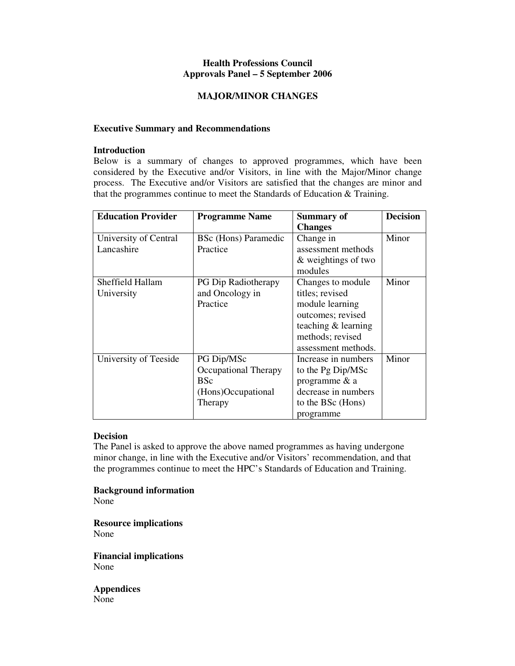# **Health Professions Council Approvals Panel – 5 September 2006**

### **MAJOR/MINOR CHANGES**

### **Executive Summary and Recommendations**

### **Introduction**

Below is a summary of changes to approved programmes, which have been considered by the Executive and/or Visitors, in line with the Major/Minor change process. The Executive and/or Visitors are satisfied that the changes are minor and that the programmes continue to meet the Standards of Education & Training.

| <b>Education Provider</b> | <b>Programme Name</b>       | <b>Summary of</b>   | <b>Decision</b> |
|---------------------------|-----------------------------|---------------------|-----------------|
|                           |                             | <b>Changes</b>      |                 |
| University of Central     | <b>BSc</b> (Hons) Paramedic | Change in           | Minor           |
| Lancashire                | Practice                    | assessment methods  |                 |
|                           |                             | & weightings of two |                 |
|                           |                             | modules             |                 |
| Sheffield Hallam          | PG Dip Radiotherapy         | Changes to module   | Minor           |
| University                | and Oncology in             | titles; revised     |                 |
|                           | Practice                    | module learning     |                 |
|                           |                             | outcomes; revised   |                 |
|                           |                             | teaching & learning |                 |
|                           |                             | methods; revised    |                 |
|                           |                             | assessment methods. |                 |
| University of Teeside     | PG Dip/MSc                  | Increase in numbers | Minor           |
|                           | Occupational Therapy        | to the Pg Dip/MSc   |                 |
|                           | <b>BSc</b>                  | programme & a       |                 |
|                           | (Hons)Occupational          | decrease in numbers |                 |
|                           | Therapy                     | to the BSc (Hons)   |                 |
|                           |                             | programme           |                 |

# **Decision**

The Panel is asked to approve the above named programmes as having undergone minor change, in line with the Executive and/or Visitors' recommendation, and that the programmes continue to meet the HPC's Standards of Education and Training.

### **Background information**

None

**Resource implications**  None

**Financial implications**  None

**Appendices**  None